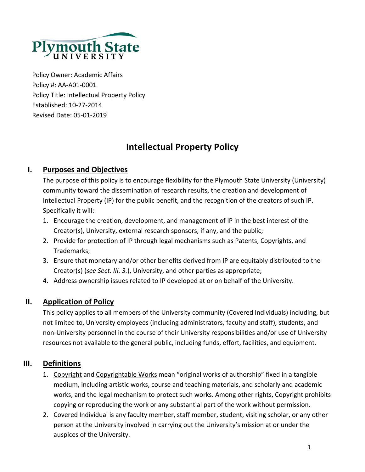

Policy Owner: Academic Affairs Policy #: AA‐A01‐0001 Policy Title: Intellectual Property Policy Established: 10‐27‐2014 Revised Date: 05‐01‐2019

# **Intellectual Property Policy**

# **I. Purposes and Objectives**

The purpose of this policy is to encourage flexibility for the Plymouth State University (University) community toward the dissemination of research results, the creation and development of Intellectual Property (IP) for the public benefit, and the recognition of the creators of such IP. Specifically it will:

- 1. Encourage the creation, development, and management of IP in the best interest of the Creator(s), University, external research sponsors, if any, and the public;
- 2. Provide for protection of IP through legal mechanisms such as Patents, Copyrights, and Trademarks;
- 3. Ensure that monetary and/or other benefits derived from IP are equitably distributed to the Creator(s) (*see Sect. III. 3.*), University, and other parties as appropriate;
- 4. Address ownership issues related to IP developed at or on behalf of the University.

## **II. Application of Policy**

This policy applies to all members of the University community (Covered Individuals) including, but not limited to, University employees (including administrators, faculty and staff), students, and non‐University personnel in the course of their University responsibilities and/or use of University resources not available to the general public, including funds, effort, facilities, and equipment.

## **III. Definitions**

- 1. Copyright and Copyrightable Works mean "original works of authorship" fixed in a tangible medium, including artistic works, course and teaching materials, and scholarly and academic works, and the legal mechanism to protect such works. Among other rights, Copyright prohibits copying or reproducing the work or any substantial part of the work without permission.
- 2. Covered Individual is any faculty member, staff member, student, visiting scholar, or any other person at the University involved in carrying out the University's mission at or under the auspices of the University.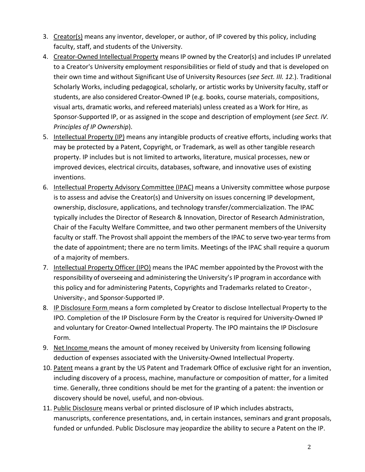- 3. Creator(s) means any inventor, developer, or author, of IP covered by this policy, including faculty, staff, and students of the University.
- 4. Creator-Owned Intellectual Property means IP owned by the Creator(s) and includes IP unrelated to a Creator's University employment responsibilities or field of study and that is developed on their own time and without Significant Use of University Resources (*see Sect. III. 12.*). Traditional Scholarly Works, including pedagogical, scholarly, or artistic works by University faculty, staff or students, are also considered Creator‐Owned IP (e.g. books, course materials, compositions, visual arts, dramatic works, and refereed materials) unless created as a Work for Hire, as Sponsor‐‐‐Supported IP, or as assigned in the scope and description of employment (*see Sect. IV. Principles of IP Ownership*).
- 5. Intellectual Property (IP) means any intangible products of creative efforts, including works that may be protected by a Patent, Copyright, or Trademark, as well as other tangible research property. IP includes but is not limited to artworks, literature, musical processes, new or improved devices, electrical circuits, databases, software, and innovative uses of existing inventions.
- 6. Intellectual Property Advisory Committee (IPAC) means a University committee whose purpose is to assess and advise the Creator(s) and University on issues concerning IP development, ownership, disclosure, applications, and technology transfer/commercialization. The IPAC typically includes the Director of Research & Innovation, Director of Research Administration, Chair of the Faculty Welfare Committee, and two other permanent members of the University faculty or staff. The Provost shall appoint the members of the IPAC to serve two-year terms from the date of appointment; there are no term limits. Meetings of the IPAC shall require a quorum of a majority of members.
- 7. Intellectual Property Officer (IPO) means the IPAC member appointed by the Provost with the responsibility of overseeing and administering the University's IP program in accordance with this policy and for administering Patents, Copyrights and Trademarks related to Creator‐, University‐, and Sponsor‐Supported IP.
- 8. IP Disclosure Form means a form completed by Creator to disclose Intellectual Property to the IPO. Completion of the IP Disclosure Form by the Creator is required for University‐Owned IP and voluntary for Creator‐Owned Intellectual Property. The IPO maintains the IP Disclosure Form.
- 9. Net Income means the amount of money received by University from licensing following deduction of expenses associated with the University‐Owned Intellectual Property.
- 10. Patent means a grant by the US Patent and Trademark Office of exclusive right for an invention, including discovery of a process, machine, manufacture or composition of matter, for a limited time. Generally, three conditions should be met for the granting of a patent: the invention or discovery should be novel, useful, and non‐obvious.
- 11. Public Disclosure means verbal or printed disclosure of IP which includes abstracts, manuscripts, conference presentations, and, in certain instances, seminars and grant proposals, funded or unfunded. Public Disclosure may jeopardize the ability to secure a Patent on the IP.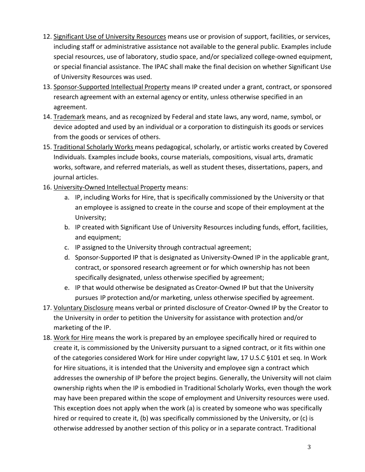- 12. Significant Use of University Resources means use or provision of support, facilities, or services, including staff or administrative assistance not available to the general public. Examples include special resources, use of laboratory, studio space, and/or specialized college-owned equipment, or special financial assistance. The IPAC shall make the final decision on whether Significant Use of University Resources was used.
- 13. Sponsor‐Supported Intellectual Property means IP created under a grant, contract, or sponsored research agreement with an external agency or entity, unless otherwise specified in an agreement.
- 14. Trademark means, and as recognized by Federal and state laws, any word, name, symbol, or device adopted and used by an individual or a corporation to distinguish its goods or services from the goods or services of others.
- 15. Traditional Scholarly Works means pedagogical, scholarly, or artistic works created by Covered Individuals. Examples include books, course materials, compositions, visual arts, dramatic works, software, and referred materials, as well as student theses, dissertations, papers, and journal articles.
- 16. University‐Owned Intellectual Property means:
	- a. IP, including Works for Hire, that is specifically commissioned by the University or that an employee is assigned to create in the course and scope of their employment at the University;
	- b. IP created with Significant Use of University Resources including funds, effort, facilities, and equipment;
	- c. IP assigned to the University through contractual agreement;
	- d. Sponsor‐Supported IP that is designated as University‐Owned IP in the applicable grant, contract, or sponsored research agreement or for which ownership has not been specifically designated, unless otherwise specified by agreement;
	- e. IP that would otherwise be designated as Creator‐Owned IP but that the University pursues IP protection and/or marketing, unless otherwise specified by agreement.
- 17. Voluntary Disclosure means verbal or printed disclosure of Creator-Owned IP by the Creator to the University in order to petition the University for assistance with protection and/or marketing of the IP.
- 18. Work for Hire means the work is prepared by an employee specifically hired or required to create it, is commissioned by the University pursuant to a signed contract, or it fits within one of the categories considered Work for Hire under copyright law, 17 U.S.C §101 et seq. In Work for Hire situations, it is intended that the University and employee sign a contract which addresses the ownership of IP before the project begins. Generally, the University will not claim ownership rights when the IP is embodied in Traditional Scholarly Works, even though the work may have been prepared within the scope of employment and University resources were used. This exception does not apply when the work (a) is created by someone who was specifically hired or required to create it, (b) was specifically commissioned by the University, or (c) is otherwise addressed by another section of this policy or in a separate contract. Traditional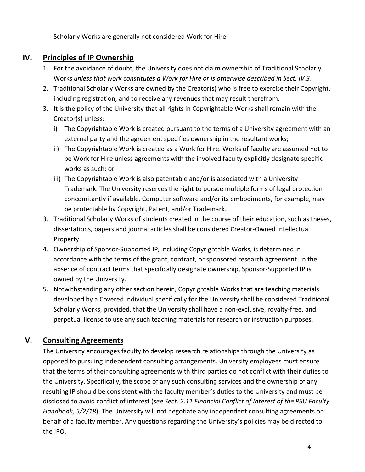Scholarly Works are generally not considered Work for Hire.

# **IV. Principles of IP Ownership**

- 1. For the avoidance of doubt, the University does not claim ownership of Traditional Scholarly Works *unless that work constitutes a Work for Hire or is otherwise described in Sect. IV.3*.
- 2. Traditional Scholarly Works are owned by the Creator(s) who is free to exercise their Copyright, including registration, and to receive any revenues that may result therefrom.
- 3. It is the policy of the University that all rights in Copyrightable Works shall remain with the Creator(s) unless:
	- i) The Copyrightable Work is created pursuant to the terms of a University agreement with an external party and the agreement specifies ownership in the resultant works;
	- ii) The Copyrightable Work is created as a Work for Hire. Works of faculty are assumed not to be Work for Hire unless agreements with the involved faculty explicitly designate specific works as such; or
	- iii) The Copyrightable Work is also patentable and/or is associated with a University Trademark. The University reserves the right to pursue multiple forms of legal protection concomitantly if available. Computer software and/or its embodiments, for example, may be protectable by Copyright, Patent, and/or Trademark.
- 3. Traditional Scholarly Works of students created in the course of their education, such as theses, dissertations, papers and journal articles shall be considered Creator‐Owned Intellectual Property.
- 4. Ownership of Sponsor‐Supported IP, including Copyrightable Works, is determined in accordance with the terms of the grant, contract, or sponsored research agreement. In the absence of contract terms that specifically designate ownership, Sponsor‐Supported IP is owned by the University.
- 5. Notwithstanding any other section herein, Copyrightable Works that are teaching materials developed by a Covered Individual specifically for the University shall be considered Traditional Scholarly Works, provided, that the University shall have a non-exclusive, royalty-free, and perpetual license to use any such teaching materials for research or instruction purposes.

# **V. Consulting Agreements**

The University encourages faculty to develop research relationships through the University as opposed to pursuing independent consulting arrangements. University employees must ensure that the terms of their consulting agreements with third parties do not conflict with their duties to the University. Specifically, the scope of any such consulting services and the ownership of any resulting IP should be consistent with the faculty member's duties to the University and must be disclosed to avoid conflict of interest (*see Sect. 2.11 Financial Conflict of Interest of the PSU Faculty Handbook, 5/2/18*). The University will not negotiate any independent consulting agreements on behalf of a faculty member. Any questions regarding the University's policies may be directed to the IPO.